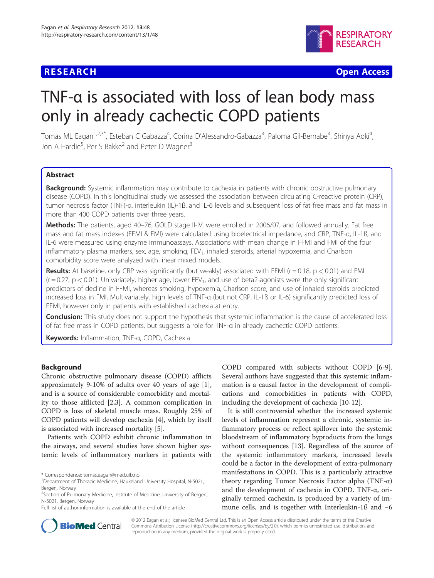# **RESEARCH CHEAR CHEAR CHEAR CHEAR CHEAR CHEAP CHEAR CHEAP CHEAP CHEAP CHEAP CHEAP CHEAP CHEAP CHEAP CHEAP CHEAP**



# TNF-α is associated with loss of lean body mass only in already cachectic COPD patients

Tomas ML Eagan<sup>1,2,3\*</sup>, Esteban C Gabazza<sup>4</sup>, Corina D'Alessandro-Gabazza<sup>4</sup>, Paloma Gil-Bernabe<sup>4</sup>, Shinya Aoki<sup>4</sup> , Jon A Hardie<sup>5</sup>, Per S Bakke<sup>2</sup> and Peter D Wagner<sup>3</sup>

# Abstract

Background: Systemic inflammation may contribute to cachexia in patients with chronic obstructive pulmonary disease (COPD). In this longitudinal study we assessed the association between circulating C-reactive protein (CRP), tumor necrosis factor (TNF)-α, interleukin (IL)-1ß, and IL-6 levels and subsequent loss of fat free mass and fat mass in more than 400 COPD patients over three years.

Methods: The patients, aged 40–76, GOLD stage II-IV, were enrolled in 2006/07, and followed annually. Fat free mass and fat mass indexes (FFMI & FMI) were calculated using bioelectrical impedance, and CRP, TNF-α, IL-1ß, and IL-6 were measured using enzyme immunoassays. Associations with mean change in FFMI and FMI of the four inflammatory plasma markers, sex, age, smoking, FEV<sub>1</sub>, inhaled steroids, arterial hypoxemia, and Charlson comorbidity score were analyzed with linear mixed models.

Results: At baseline, only CRP was significantly (but weakly) associated with FFMI ( $r = 0.18$ ,  $p < 0.01$ ) and FMI  $(r = 0.27, p < 0.01)$ . Univariately, higher age, lower FEV<sub>1</sub>, and use of beta2-agonists were the only significant predictors of decline in FFMI, whereas smoking, hypoxemia, Charlson score, and use of inhaled steroids predicted increased loss in FMI. Multivariately, high levels of TNF-α (but not CRP, IL-1ß or IL-6) significantly predicted loss of FFMI, however only in patients with established cachexia at entry.

Conclusion: This study does not support the hypothesis that systemic inflammation is the cause of accelerated loss of fat free mass in COPD patients, but suggests a role for TNF-α in already cachectic COPD patients.

Keywords: Inflammation, TNF-α, COPD, Cachexia

# Background

Chronic obstructive pulmonary disease (COPD) afflicts approximately 9-10% of adults over 40 years of age [\[1](#page-9-0)], and is a source of considerable comorbidity and mortality to those afflicted [[2,3\]](#page-9-0). A common complication in COPD is loss of skeletal muscle mass. Roughly 25% of COPD patients will develop cachexia [[4\]](#page-9-0), which by itself is associated with increased mortality [[5\]](#page-9-0).

Patients with COPD exhibit chronic inflammation in the airways, and several studies have shown higher systemic levels of inflammatory markers in patients with

COPD compared with subjects without COPD [[6-9](#page-9-0)]. Several authors have suggested that this systemic inflammation is a causal factor in the development of complications and comorbidities in patients with COPD, including the development of cachexia [[10-12](#page-9-0)].

It is still controversial whether the increased systemic levels of inflammation represent a chronic, systemic inflammatory process or reflect spillover into the systemic bloodstream of inflammatory byproducts from the lungs without consequences [[13\]](#page-9-0). Regardless of the source of the systemic inflammatory markers, increased levels could be a factor in the development of extra-pulmonary manifestations in COPD. This is a particularly attractive theory regarding Tumor Necrosis Factor alpha (TNF-α) and the development of cachexia in COPD. TNF-α, originally termed cachexin, is produced by a variety of immune cells, and is together with Interleukin-1ß and −6



© 2012 Eagan et al.; licensee BioMed Central Ltd. This is an Open Access article distributed under the terms of the Creative Commons Attribution License [\(http://creativecommons.org/licenses/by/2.0\)](http://creativecommons.org/licenses/by/2.0), which permits unrestricted use, distribution, and reproduction in any medium, provided the original work is properly cited.

<sup>\*</sup> Correspondence: [tomas.eagan@med.uib.no](mailto:tomas.eagan@med.uib.no) <sup>1</sup>

<sup>&</sup>lt;sup>1</sup>Department of Thoracic Medicine, Haukeland University Hospital, N-5021, Bergen, Norway

<sup>&</sup>lt;sup>2</sup>Section of Pulmonary Medicine, Institute of Medicine, University of Bergen, N-5021, Bergen, Norway

Full list of author information is available at the end of the article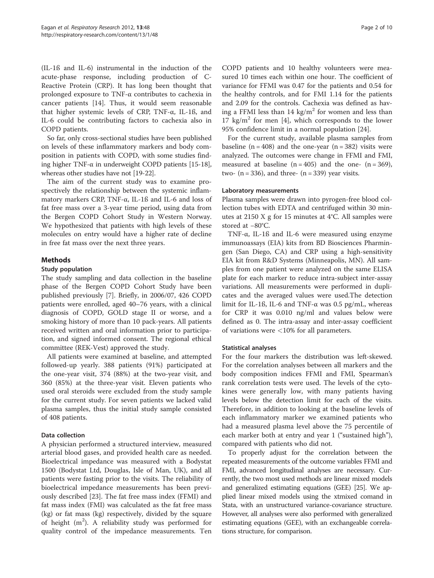(IL-1ß and IL-6) instrumental in the induction of the acute-phase response, including production of C-Reactive Protein (CRP). It has long been thought that prolonged exposure to TNF-α contributes to cachexia in cancer patients [[14\]](#page-9-0). Thus, it would seem reasonable that higher systemic levels of CRP, TNF-α, IL-1ß, and IL-6 could be contributing factors to cachexia also in COPD patients.

So far, only cross-sectional studies have been published on levels of these inflammatory markers and body composition in patients with COPD, with some studies finding higher TNF-α in underweight COPD patients [[15](#page-9-0)-[18](#page-9-0)], whereas other studies have not [[19](#page-9-0)-[22](#page-9-0)].

The aim of the current study was to examine prospectively the relationship between the systemic inflammatory markers CRP, TNF-α, IL-1ß and IL-6 and loss of fat free mass over a 3-year time period, using data from the Bergen COPD Cohort Study in Western Norway. We hypothesized that patients with high levels of these molecules on entry would have a higher rate of decline in free fat mass over the next three years.

# Methods

# Study population

The study sampling and data collection in the baseline phase of the Bergen COPD Cohort Study have been published previously [\[7](#page-9-0)]. Briefly, in 2006/07, 426 COPD patients were enrolled, aged 40–76 years, with a clinical diagnosis of COPD, GOLD stage II or worse, and a smoking history of more than 10 pack-years. All patients received written and oral information prior to participation, and signed informed consent. The regional ethical committee (REK-Vest) approved the study.

All patients were examined at baseline, and attempted followed-up yearly. 388 patients (91%) participated at the one-year visit, 374 (88%) at the two-year visit, and 360 (85%) at the three-year visit. Eleven patients who used oral steroids were excluded from the study sample for the current study. For seven patients we lacked valid plasma samples, thus the initial study sample consisted of 408 patients.

# Data collection

A physician performed a structured interview, measured arterial blood gases, and provided health care as needed. Bioelectrical impedance was measured with a Bodystat 1500 (Bodystat Ltd, Douglas, Isle of Man, UK), and all patients were fasting prior to the visits. The reliability of bioelectrical impedance measurements has been previously described [[23\]](#page-9-0). The fat free mass index (FFMI) and fat mass index (FMI) was calculated as the fat free mass (kg) or fat mass (kg) respectively, divided by the square of height  $(m^2)$ . A reliability study was performed for quality control of the impedance measurements. Ten

COPD patients and 10 healthy volunteers were measured 10 times each within one hour. The coefficient of variance for FFMI was 0.47 for the patients and 0.54 for the healthy controls, and for FMI 1.14 for the patients and 2.09 for the controls. Cachexia was defined as having a FFMI less than 14 kg/m<sup>2</sup> for women and less than 17 kg/m<sup>2</sup> for men [\[4](#page-9-0)], which corresponds to the lower 95% confidence limit in a normal population [\[24\]](#page-9-0).

For the current study, available plasma samples from baseline  $(n = 408)$  and the one-year  $(n = 382)$  visits were analyzed. The outcomes were change in FFMI and FMI, measured at baseline  $(n = 405)$  and the one-  $(n = 369)$ , two-  $(n = 336)$ , and three-  $(n = 339)$  year visits.

# Laboratory measurements

Plasma samples were drawn into pyrogen-free blood collection tubes with EDTA and centrifuged within 30 minutes at 2150 X g for 15 minutes at 4°C. All samples were stored at −80°C.

TNF-α, IL-1ß and IL-6 were measured using enzyme immunoassays (EIA) kits from BD Biosciences Pharmingen (San Diego, CA) and CRP using a high-sensitivity EIA kit from R&D Systems (Minneapolis, MN). All samples from one patient were analyzed on the same ELISA plate for each marker to reduce intra-subject inter-assay variations. All measurements were performed in duplicates and the averaged values were used.The detection limit for IL-1ß, IL-6 and TNF-α was 0.5 pg/mL, whereas for CRP it was 0.010 ng/ml and values below were defined as 0. The intra-assay and inter-assay coefficient of variations were <10% for all parameters.

# Statistical analyses

For the four markers the distribution was left-skewed. For the correlation analyses between all markers and the body composition indices FFMI and FMI, Spearman's rank correlation tests were used. The levels of the cytokines were generally low, with many patients having levels below the detection limit for each of the visits. Therefore, in addition to looking at the baseline levels of each inflammatory marker we examined patients who had a measured plasma level above the 75 percentile of each marker both at entry and year 1 ("sustained high"), compared with patients who did not.

To properly adjust for the correlation between the repeated measurements of the outcome variables FFMI and FMI, advanced longitudinal analyses are necessary. Currently, the two most used methods are linear mixed models and generalized estimating equations (GEE) [\[25](#page-9-0)]. We applied linear mixed models using the xtmixed comand in Stata, with an unstructured variance-covariance structure. However, all analyses were also performed with generalized estimating equations (GEE), with an exchangeable correlations structure, for comparison.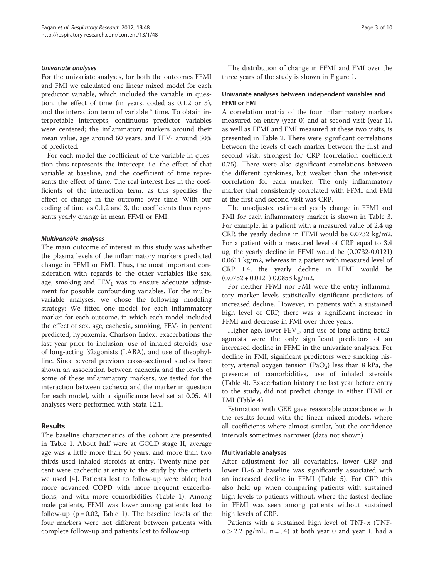#### Univariate analyses

For the univariate analyses, for both the outcomes FFMI and FMI we calculated one linear mixed model for each predictor variable, which included the variable in question, the effect of time (in years, coded as 0,1,2 or 3), and the interaction term of variable \* time. To obtain interpretable intercepts, continuous predictor variables were centered; the inflammatory markers around their mean value, age around 60 years, and  $FEV<sub>1</sub>$  around 50% of predicted.

For each model the coefficient of the variable in question thus represents the intercept, i.e. the effect of that variable at baseline, and the coefficient of time represents the effect of time. The real interest lies in the coefficients of the interaction term, as this specifies the effect of change in the outcome over time. With our coding of time as 0,1,2 and 3, the coefficients thus represents yearly change in mean FFMI or FMI.

#### Multivariable analyses

The main outcome of interest in this study was whether the plasma levels of the inflammatory markers predicted change in FFMI or FMI. Thus, the most important consideration with regards to the other variables like sex, age, smoking and  $FEV<sub>1</sub>$  was to ensure adequate adjustment for possible confounding variables. For the multivariable analyses, we chose the following modeling strategy: We fitted one model for each inflammatory marker for each outcome, in which each model included the effect of sex, age, cachexia, smoking,  $FEV<sub>1</sub>$  in percent predicted, hypoxemia, Charlson Index, exacerbations the last year prior to inclusion, use of inhaled steroids, use of long-acting ß2agonists (LABA), and use of theophylline. Since several previous cross-sectional studies have shown an association between cachexia and the levels of some of these inflammatory markers, we tested for the interaction between cachexia and the marker in question for each model, with a significance level set at 0.05. All analyses were performed with Stata 12.1.

# Results

The baseline characteristics of the cohort are presented in Table [1](#page-3-0). About half were at GOLD stage II, average age was a little more than 60 years, and more than two thirds used inhaled steroids at entry. Twenty-nine percent were cachectic at entry to the study by the criteria we used [[4](#page-9-0)]. Patients lost to follow-up were older, had more advanced COPD with more frequent exacerbations, and with more comorbidities (Table [1\)](#page-3-0). Among male patients, FFMI was lower among patients lost to follow-up ( $p = 0.02$ , Table [1\)](#page-3-0). The baseline levels of the four markers were not different between patients with complete follow-up and patients lost to follow-up.

The distribution of change in FFMI and FMI over the three years of the study is shown in Figure [1](#page-4-0).

# Univariate analyses between independent variables and FFMI or FMI

A correlation matrix of the four inflammatory markers measured on entry (year 0) and at second visit (year 1), as well as FFMI and FMI measured at these two visits, is presented in Table [2](#page-4-0). There were significant correlations between the levels of each marker between the first and second visit, strongest for CRP (correlation coefficient 0.75). There were also significant correlations between the different cytokines, but weaker than the inter-visit correlation for each marker. The only inflammatory marker that consistently correlated with FFMI and FMI at the first and second visit was CRP.

The unadjusted estimated yearly change in FFMI and FMI for each inflammatory marker is shown in Table [3](#page-5-0). For example, in a patient with a measured value of 2.4 ug CRP, the yearly decline in FFMI would be 0.0732 kg/m2. For a patient with a measured level of CRP equal to 3.4 ug, the yearly decline in FFMI would be (0.0732-0.0121) 0.0611 kg/m2, whereas in a patient with measured level of CRP 1.4, the yearly decline in FFMI would be  $(0.0732 + 0.0121)$  0.0853 kg/m2.

For neither FFMI nor FMI were the entry inflammatory marker levels statistically significant predictors of increased decline. However, in patients with a sustained high level of CRP, there was a significant increase in FFMI and decrease in FMI over three years.

Higher age, lower  $FEV_1$ , and use of long-acting beta2agonists were the only significant predictors of an increased decline in FFMI in the univariate analyses. For decline in FMI, significant predictors were smoking history, arterial oxygen tension (PaO<sub>2</sub>) less than 8 kPa, the presence of comorbidities, use of inhaled steroids (Table [4](#page-6-0)). Exacerbation history the last year before entry to the study, did not predict change in either FFMI or FMI (Table [4](#page-6-0)).

Estimation with GEE gave reasonable accordance with the results found with the linear mixed models, where all coefficients where almost similar, but the confidence intervals sometimes narrower (data not shown).

#### Multivariable analyses

After adjustment for all covariables, lower CRP and lower IL-6 at baseline was significantly associated with an increased decline in FFMI (Table [5\)](#page-7-0). For CRP this also held up when comparing patients with sustained high levels to patients without, where the fastest decline in FFMI was seen among patients without sustained high levels of CRP.

Patients with a sustained high level of TNF- $\alpha$  (TNF- $\alpha$  > 2.2 pg/mL, n = 54) at both year 0 and year 1, had a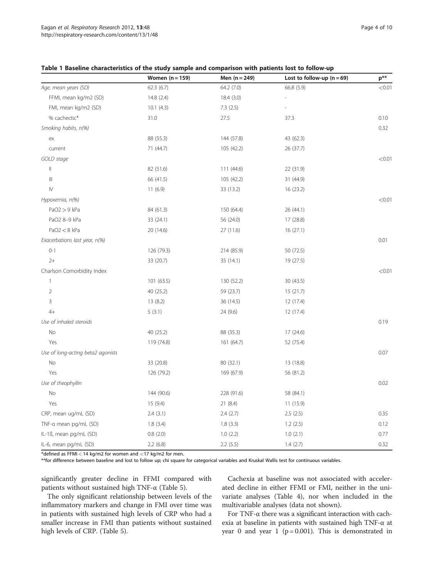|                                   | Women $(n = 159)$ | Men $(n = 249)$ | Lost to follow-up $(n = 69)$ | $\mathsf{p}^{**}$ |
|-----------------------------------|-------------------|-----------------|------------------------------|-------------------|
| Age, mean years (SD)              | 62.3(6.7)         | 64.2 (7.0)      | 66.8 (5.9)                   | < 0.01            |
| FFMI, mean kg/m2 (SD)             | 14.8(2.4)         | 18.4(3.0)       |                              |                   |
| FMI, mean kg/m2 (SD)              | 10.1(4.3)         | 7.3(2.5)        |                              |                   |
| % cachectic*                      | 31.0              | 27.5            | 37.3                         | 0.10              |
| Smoking habits, n(%)              |                   |                 |                              | 0.32              |
| ex                                | 88 (55.3)         | 144 (57.8)      | 43 (62.3)                    |                   |
| current                           | 71 (44.7)         | 105 (42.2)      | 26 (37.7)                    |                   |
| GOLD stage                        |                   |                 |                              | < 0.01            |
| $\mid \mid$                       | 82 (51.6)         | 111 (44.6)      | 22 (31.9)                    |                   |
| $\vert\vert\vert$                 | 66 (41.5)         | 105 (42.2)      | 31 (44.9)                    |                   |
| $\mathsf{IV}$                     | 11(6.9)           | 33 (13.2)       | 16 (23.2)                    |                   |
| Hypoxemia, n(%)                   |                   |                 |                              | < 0.01            |
| $PaO2 > 9$ kPa                    | 84 (61.3)         | 150 (64.4)      | 26 (44.1)                    |                   |
| PaO2 8-9 kPa                      | 33 (24.1)         | 56 (24.0)       | 17 (28.8)                    |                   |
| $PaO2 < 8$ kPa                    | 20 (14.6)         | 27(11.6)        | 16(27.1)                     |                   |
| Exacerbations last year, n(%)     |                   |                 |                              | 0.01              |
| $0 - 1$                           | 126 (79.3)        | 214 (85.9)      | 50 (72.5)                    |                   |
| $2+$                              | 33 (20.7)         | 35 (14.1)       | 19 (27.5)                    |                   |
| Charlson Comorbidity Index        |                   |                 |                              | < 0.01            |
| $\mathbf{1}$                      | 101 (63.5)        | 130 (52.2)      | 30 (43.5)                    |                   |
| $\overline{2}$                    | 40 (25.2)         | 59 (23.7)       | 15(21.7)                     |                   |
| $\mathsf 3$                       | 13 (8.2)          | 36 (14.5)       | 12 (17.4)                    |                   |
| $4+$                              | 5(3.1)            | 24 (9.6)        | 12 (17.4)                    |                   |
| Use of inhaled steroids           |                   |                 |                              | 0.19              |
| $\rm No$                          | 40 (25.2)         | 88 (35.3)       | 17 (24.6)                    |                   |
| Yes                               | 119 (74.8)        | 161 (64.7)      | 52 (75.4)                    |                   |
| Use of long-acting beta2 agonists |                   |                 |                              | 0.07              |
| No                                | 33 (20.8)         | 80 (32.1)       | 13 (18.8)                    |                   |
| Yes                               | 126 (79.2)        | 169 (67.9)      | 56 (81.2)                    |                   |
| Use of theophyllin                |                   |                 |                              | 0.02              |
| No                                | 144 (90.6)        | 228 (91.6)      | 58 (84.1)                    |                   |
| Yes                               | 15(9.4)           | 21 (8.4)        | 11 (15.9)                    |                   |
| CRP, mean ug/mL (SD)              | 2.4(3.1)          | 2.4(2.7)        | 2.5(2.5)                     | 0.35              |
| TNF-a mean pg/mL (SD)             | 1.8(3.4)          | 1.8(3.3)        | 1.2(2.5)                     | 0.12              |
| IL-1ß, mean pg/mL (SD)            | 0.8(2.0)          | 1.0(2.2)        | 1.0(2.1)                     | 0.77              |
| IL-6, mean pg/mL (SD)             | 2.2(6.8)          | 2.2(5.5)        | 1.4(2.7)                     | 0.32              |

#### <span id="page-3-0"></span>Table 1 Baseline characteristics of the study sample and comparison with patients lost to follow-up

 $*$ defined as FFMI  $<$  14 kg/m2 for women and  $<$  17 kg/m2 for men.

\*\*for difference between baseline and lost to follow up; chi square for categorical variables and Kruskal Wallis test for continuous variables.

significantly greater decline in FFMI compared with patients without sustained high TNF- $\alpha$  (Table [5\)](#page-7-0).

The only significant relationship between levels of the inflammatory markers and change in FMI over time was in patients with sustained high levels of CRP who had a smaller increase in FMI than patients without sustained high levels of CRP. (Table [5](#page-7-0)).

Cachexia at baseline was not associated with accelerated decline in either FFMI or FMI, neither in the univariate analyses (Table [4](#page-6-0)), nor when included in the multivariable analyses (data not shown).

For TNF-α there was a significant interaction with cachexia at baseline in patients with sustained high TNF-α at year 0 and year 1 ( $p = 0.001$ ). This is demonstrated in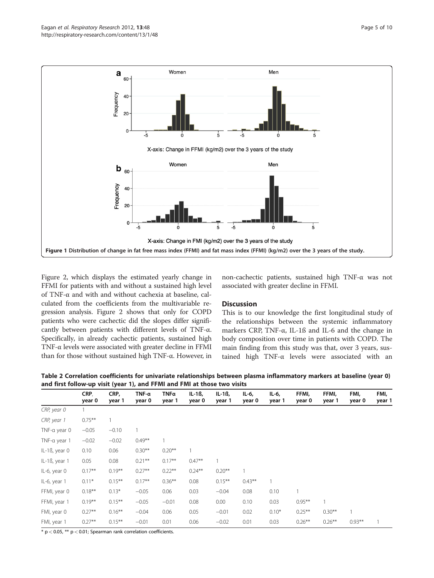<span id="page-4-0"></span>

Figure [2](#page-7-0), which displays the estimated yearly change in FFMI for patients with and without a sustained high level of TNF-α and with and without cachexia at baseline, calculated from the coefficients from the multivariable regression analysis. Figure [2](#page-7-0) shows that only for COPD patients who were cachectic did the slopes differ significantly between patients with different levels of TNF-α. Specifically, in already cachectic patients, sustained high TNF-α levels were associated with greater decline in FFMI than for those without sustained high TNF-α. However, in

non-cachectic patients, sustained high TNF-α was not associated with greater decline in FFMI.

# **Discussion**

This is to our knowledge the first longitudinal study of the relationships between the systemic inflammatory markers CRP, TNF-α, IL-1ß and IL-6 and the change in body composition over time in patients with COPD. The main finding from this study was that, over 3 years, sustained high TNF-α levels were associated with an

Table 2 Correlation coefficients for univariate relationships between plasma inflammatory markers at baseline (year 0) and first follow-up visit (year 1), and FFMI and FMI at those two visits

|                      | CRP.      | CRP,      | ΤΝF-α     | <b>TNFα</b> | IL-1ß,    | IL-1ß,    | IL-6,     | IL-6,   | FFMI,     | FFMI,     | FMI,      | FMI,   |
|----------------------|-----------|-----------|-----------|-------------|-----------|-----------|-----------|---------|-----------|-----------|-----------|--------|
|                      | year 0    | year 1    | year 0    | year 1      | year 0    | year 1    | year 0    | year 1  | year 0    | year 1    | year 0    | year 1 |
| CRP, year 0          |           |           |           |             |           |           |           |         |           |           |           |        |
| CRP, year 1          | $0.75***$ |           |           |             |           |           |           |         |           |           |           |        |
| TNF- $\alpha$ year 0 | $-0.05$   | $-0.10$   |           |             |           |           |           |         |           |           |           |        |
| TNF- $\alpha$ year 1 | $-0.02$   | $-0.02$   | $0.49***$ |             |           |           |           |         |           |           |           |        |
| IL-1ß, year 0        | 0.10      | 0.06      | $0.30**$  | $0.20**$    |           |           |           |         |           |           |           |        |
| IL-1ß, year 1        | 0.05      | 0.08      | $0.21***$ | $0.17***$   | $0.47**$  |           |           |         |           |           |           |        |
| IL-6, year 0         | $0.17***$ | $0.19***$ | $0.27***$ | $0.22***$   | $0.24***$ | $0.20**$  |           |         |           |           |           |        |
| IL-6, year $1$       | $0.11*$   | $0.15***$ | $0.17***$ | $0.36***$   | 0.08      | $0.15***$ | $0.43***$ |         |           |           |           |        |
| FFMI, year 0         | $0.18***$ | $0.13*$   | $-0.05$   | 0.06        | 0.03      | $-0.04$   | 0.08      | 0.10    |           |           |           |        |
| FFMI, year 1         | $0.19***$ | $0.15***$ | $-0.05$   | $-0.01$     | 0.08      | 0.00      | 0.10      | 0.03    | $0.95***$ |           |           |        |
| FMI, year 0          | $0.27***$ | $0.16***$ | $-0.04$   | 0.06        | 0.05      | $-0.01$   | 0.02      | $0.10*$ | $0.25***$ | $0.30**$  |           |        |
| FMI, year 1          | $0.27***$ | $0.15***$ | $-0.01$   | 0.01        | 0.06      | $-0.02$   | 0.01      | 0.03    | $0.26***$ | $0.26***$ | $0.93***$ |        |

 $*$  p  $<$  0.05,  $**$  p  $<$  0.01; Spearman rank correlation coefficients.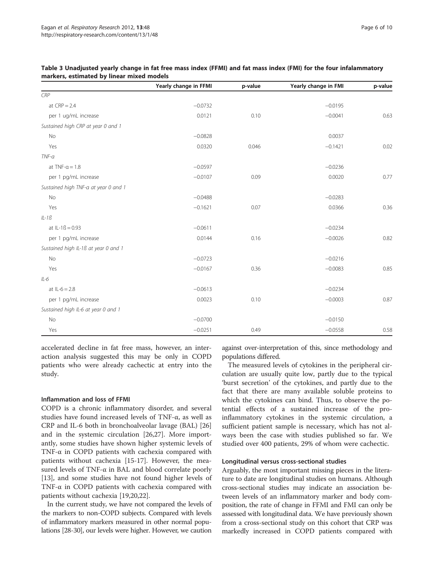|                                      | Yearly change in FFMI | p-value | Yearly change in FMI | p-value |
|--------------------------------------|-----------------------|---------|----------------------|---------|
| CRP                                  |                       |         |                      |         |
| at $CRP = 2.4$                       | $-0.0732$             |         | $-0.0195$            |         |
| per 1 ug/mL increase                 | 0.0121                | 0.10    | $-0.0041$            | 0.63    |
| Sustained high CRP at year 0 and 1   |                       |         |                      |         |
| No                                   | $-0.0828$             |         | 0.0037               |         |
| Yes                                  | 0.0320                | 0.046   | $-0.1421$            | 0.02    |
| $TNF-a$                              |                       |         |                      |         |
| at TNF- $\alpha$ = 1.8               | $-0.0597$             |         | $-0.0236$            |         |
| per 1 pg/mL increase                 | $-0.0107$             | 0.09    | 0.0020               | 0.77    |
| Sustained high TNF-a at year 0 and 1 |                       |         |                      |         |
| No                                   | $-0.0488$             |         | $-0.0283$            |         |
| Yes                                  | $-0.1621$             | 0.07    | 0.0366               | 0.36    |
| $IL-1B$                              |                       |         |                      |         |
| at $IL-1ß = 0.93$                    | $-0.0611$             |         | $-0.0234$            |         |
| per 1 pg/mL increase                 | 0.0144                | 0.16    | $-0.0026$            | 0.82    |
| Sustained high IL-1ß at year 0 and 1 |                       |         |                      |         |
| No                                   | $-0.0723$             |         | $-0.0216$            |         |
| Yes                                  | $-0.0167$             | 0.36    | $-0.0083$            | 0.85    |
| $IL-6$                               |                       |         |                      |         |
| at $IL-6 = 2.8$                      | $-0.0613$             |         | $-0.0234$            |         |
| per 1 pg/mL increase                 | 0.0023                | 0.10    | $-0.0003$            | 0.87    |
| Sustained high IL-6 at year 0 and 1  |                       |         |                      |         |
| No                                   | $-0.0700$             |         | $-0.0150$            |         |
| Yes                                  | $-0.0251$             | 0.49    | $-0.0558$            | 0.58    |

<span id="page-5-0"></span>

| Table 3 Unadjusted yearly change in fat free mass index (FFMI) and fat mass index (FMI) for the four infalammatory |  |  |  |
|--------------------------------------------------------------------------------------------------------------------|--|--|--|
| markers, estimated by linear mixed models                                                                          |  |  |  |

accelerated decline in fat free mass, however, an interaction analysis suggested this may be only in COPD patients who were already cachectic at entry into the study.

# Inflammation and loss of FFMI

COPD is a chronic inflammatory disorder, and several studies have found increased levels of TNF-α, as well as CRP and IL-6 both in bronchoalveolar lavage (BAL) [[26](#page-9-0)] and in the systemic circulation [[26](#page-9-0),[27](#page-9-0)]. More importantly, some studies have shown higher systemic levels of TNF-α in COPD patients with cachexia compared with patients without cachexia [\[15](#page-9-0)-[17\]](#page-9-0). However, the measured levels of TNF-α in BAL and blood correlate poorly [[13\]](#page-9-0), and some studies have not found higher levels of TNF-α in COPD patients with cachexia compared with patients without cachexia [\[19,20,22\]](#page-9-0).

In the current study, we have not compared the levels of the markers to non-COPD subjects. Compared with levels of inflammatory markers measured in other normal populations [\[28-30](#page-9-0)], our levels were higher. However, we caution against over-interpretation of this, since methodology and populations differed.

The measured levels of cytokines in the peripheral circulation are usually quite low, partly due to the typical 'burst secretion' of the cytokines, and partly due to the fact that there are many available soluble proteins to which the cytokines can bind. Thus, to observe the potential effects of a sustained increase of the proinflammatory cytokines in the systemic circulation, a sufficient patient sample is necessary, which has not always been the case with studies published so far. We studied over 400 patients, 29% of whom were cachectic.

#### Longitudinal versus cross-sectional studies

Arguably, the most important missing pieces in the literature to date are longitudinal studies on humans. Although cross-sectional studies may indicate an association between levels of an inflammatory marker and body composition, the rate of change in FFMI and FMI can only be assessed with longitudinal data. We have previously shown from a cross-sectional study on this cohort that CRP was markedly increased in COPD patients compared with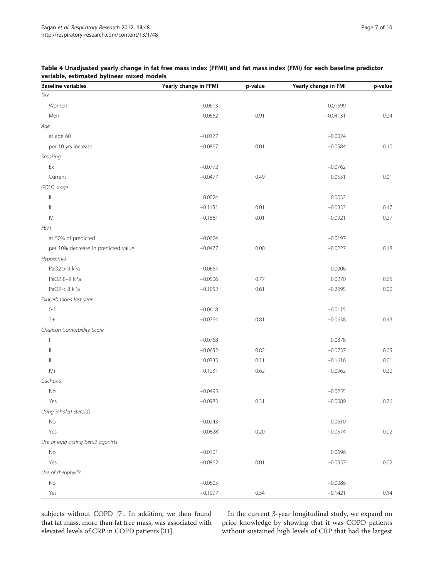| <b>Baseline variables</b>            | Yearly change in FFMI | p-value | Yearly change in FMI | p-value  |
|--------------------------------------|-----------------------|---------|----------------------|----------|
| Sex                                  |                       |         |                      |          |
| Women                                | $-0.0613$             |         | 0.01599              |          |
| Men                                  | $-0.0662$             | 0.91    | $-0.04131$           | 0.24     |
| Age                                  |                       |         |                      |          |
| at age 60                            | $-0.0377$             |         | $-0.0024$            |          |
| per 10 yrs increase                  | $-0.0867$             | 0.01    | $-0.0584$            | 0.10     |
| Smoking                              |                       |         |                      |          |
| $\mathsf{Ex}$                        | $-0.0772$             |         | $-0.0762$            |          |
| Current                              | $-0.0477$             | 0.49    | 0.0531               | 0.01     |
| GOLD stage                           |                       |         |                      |          |
| $\vert\vert$                         | 0.0024                |         | 0.0032               |          |
| $\vert\vert\vert$                    | $-0.1151$             | 0.01    | $-0.0333$            | 0.47     |
| $\mathsf{IV}$                        | $-0.1861$             | 0.01    | $-0.0921$            | 0.27     |
| FEV1                                 |                       |         |                      |          |
| at 50% of predicted                  | $-0.0624$             |         | $-0.0197$            |          |
| per 10% decrease in predicted value  | $-0.0477$             | 0.00    | $-0.0227$            | 0.18     |
| Hypoxemia                            |                       |         |                      |          |
| $PaO2 > 9$ kPa                       | $-0.0664$             |         | 0.0006               |          |
| PaO2 8-9 kPa                         | $-0.0506$             | 0.77    | 0.0270               | 0.65     |
| $PaO2 < 8$ kPa                       | $-0.1052$             | 0.61    | $-0.2695$            | 0.00     |
| Exacerbations last year              |                       |         |                      |          |
| $0 - 1$                              | $-0.0618$             |         | $-0.0115$            |          |
| $2+$                                 | $-0.0764$             | 0.81    | $-0.0638$            | 0.43     |
| Charlson Comorbidity Score           |                       |         |                      |          |
| T                                    | $-0.0768$             |         | 0.0378               |          |
| $\vert\vert$                         | $-0.0652$             | 0.82    | $-0.0737$            | 0.05     |
| $\left\vert \right\vert \right\vert$ | 0.0333                | 0.11    | $-0.1616$            | 0.01     |
| $IV+$                                | $-0.1231$             | 0.62    | $-0.0962$            | 0.20     |
| Cachexia                             |                       |         |                      |          |
| No                                   | $-0.0495$             |         | $-0.0255$            |          |
| Yes                                  | $-0.0983$             | 0.31    | $-0.0089$            | 0.76     |
| Using inhaled steroids               |                       |         |                      |          |
| <b>No</b>                            | $-0.0243$             |         | 0.0610               |          |
| Yes                                  | $-0.0828$             | 0.20    | $-0.0574$            | $0.02\,$ |
| Use of long-acting beta2 agonists    |                       |         |                      |          |
| No                                   | $-0.0101$             |         | 0.0696               |          |
| Yes                                  | $-0.0862$             | 0.01    | $-0.0557$            | 0.02     |
| Use of theophyllin                   |                       |         |                      |          |
| No                                   | $-0.0605$             |         | $-0.0086$            |          |
| Yes                                  | $-0.1097$             | 0.54    | $-0.1421$            | 0.14     |

<span id="page-6-0"></span>

| Table 4 Unadjusted yearly change in fat free mass index (FFMI) and fat mass index (FMI) for each baseline predictor |  |  |
|---------------------------------------------------------------------------------------------------------------------|--|--|
| variable, estimated bylinear mixed models                                                                           |  |  |

subjects without COPD [\[7](#page-9-0)]. In addition, we then found that fat mass, more than fat free mass, was associated with elevated levels of CRP in COPD patients [[31](#page-9-0)].

In the current 3-year longitudinal study, we expand on prior knowledge by showing that it was COPD patients without sustained high levels of CRP that had the largest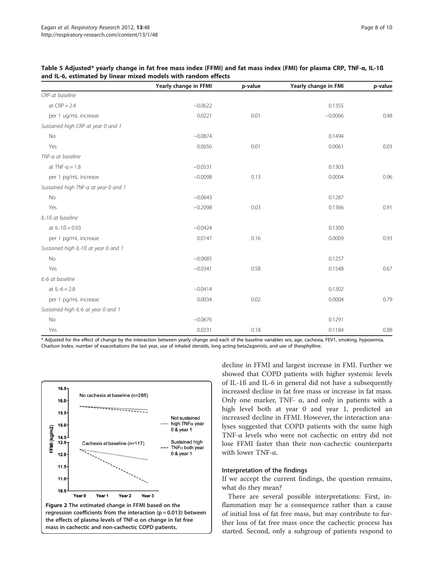|                                      | Yearly change in FFMI | p-value | Yearly change in FMI | p-value |
|--------------------------------------|-----------------------|---------|----------------------|---------|
| CRP at baseline                      |                       |         |                      |         |
| at $CRP = 2.4$                       | $-0.0622$             |         | 0.1355               |         |
| per 1 ug/mL increase                 | 0.0221                | 0.01    | $-0.0066$            | 0.48    |
| Sustained high CRP at year 0 and 1   |                       |         |                      |         |
| No                                   | $-0.0874$             |         | 0.1494               |         |
| Yes                                  | 0.0656                | 0.01    | 0.0061               | 0.03    |
| TNF-a at baseline                    |                       |         |                      |         |
| at TNF- $\alpha$ = 1.8               | $-0.0531$             |         | 0.1303               |         |
| per 1 pg/mL increase                 | $-0.0098$             | 0.13    | 0.0004               | 0.96    |
| Sustained high TNF-a at year 0 and 1 |                       |         |                      |         |
| No                                   | $-0.0643$             |         | 0.1287               |         |
| Yes                                  | $-0.2098$             | 0.03    | 0.1366               | 0.91    |
| IL-1ß at baseline                    |                       |         |                      |         |
| at $IL-1ß = 0.93$                    | $-0.0424$             |         | 0.1300               |         |
| per 1 pg/mL increase                 | 0.0147                | 0.16    | 0.0009               | 0.93    |
| Sustained high IL-1ß at year 0 and 1 |                       |         |                      |         |
| No                                   | $-0.0685$             |         | 0.1257               |         |
| Yes                                  | $-0.0341$             | 0.58    | 0.1548               | 0.67    |
| IL-6 at baseline                     |                       |         |                      |         |
| at $IL-6 = 2.8$                      | $-0.0414$             |         | 0.1302               |         |
| per 1 pg/mL increase                 | 0.0034                | 0.02    | 0.0004               | 0.79    |
| Sustained high IL-6 at year 0 and 1  |                       |         |                      |         |
| No                                   | $-0.0676$             |         | 0.1291               |         |
| Yes                                  | 0.0231                | 0.18    | 0.1184               | 0.88    |

<span id="page-7-0"></span>

| Table 5 Adjusted* yearly change in fat free mass index (FFMI) and fat mass index (FMI) for plasma CRP, TNF-a, IL-1ß |  |
|---------------------------------------------------------------------------------------------------------------------|--|
| and IL-6, estimated by linear mixed models with random effects                                                      |  |

\* Adjusted for the effect of change by the interaction between yearly change and each of the baseline variables sex, age, cachexia, FEV1, smoking, hypoxemia, Charlson Index, number of exacerbations the last year, use of inhaled steroids, long acting beta2agonists, and use of theophylline.



decline in FFMI and largest increase in FMI. Further we showed that COPD patients with higher systemic levels of IL-1ß and IL-6 in general did not have a subsequently increased decline in fat free mass or increase in fat mass. Only one marker, TNF-  $\alpha$ , and only in patients with a high level both at year 0 and year 1, predicted an increased decline in FFMI. However, the interaction analyses suggested that COPD patients with the same high TNF-α levels who were not cachectic on entry did not lose FFMI faster than their non-cachectic counterparts with lower TNF-α.

# Interpretation of the findings

If we accept the current findings, the question remains, what do they mean?

There are several possible interpretations: First, inflammation may be a consequence rather than a cause of initial loss of fat free mass, but may contribute to further loss of fat free mass once the cachectic process has started. Second, only a subgroup of patients respond to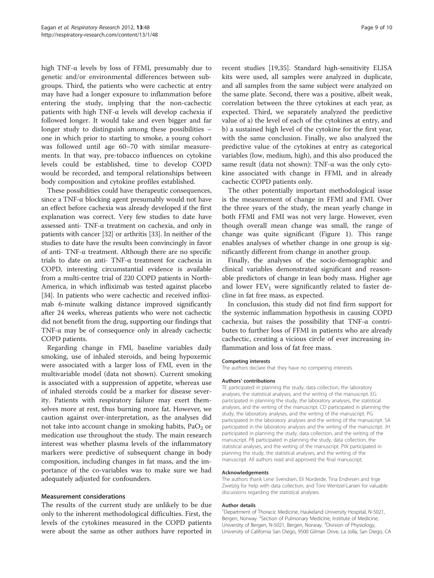high TNF- $\alpha$  levels by loss of FFMI, presumably due to genetic and/or environmental differences between subgroups. Third, the patients who were cachectic at entry may have had a longer exposure to inflammation before entering the study, implying that the non-cachectic patients with high TNF-α levels will develop cachexia if followed longer. It would take and even bigger and far longer study to distinguish among these possibilities – one in which prior to starting to smoke, a young cohort was followed until age 60–70 with similar measurements. In that way, pre-tobacco influences on cytokine levels could be established, time to develop COPD would be recorded, and temporal relationships between body composition and cytokine profiles established.

These possibilities could have therapeutic consequences, since a TNF- $\alpha$  blocking agent presumably would not have an effect before cachexia was already developed if the first explanation was correct. Very few studies to date have assessed anti- TNF-α treatment on cachexia, and only in patients with cancer [\[32\]](#page-9-0) or arthritis [\[33](#page-9-0)]. In neither of the studies to date have the results been convincingly in favor of anti- TNF-α treatment. Although there are no specific trials to date on anti- TNF-α treatment for cachexia in COPD, interesting circumstantial evidence is available from a multi-centre trial of 220 COPD patients in North-America, in which infliximab was tested against placebo [[34](#page-9-0)]. In patients who were cachectic and received infliximab 6-minute walking distance improved significantly after 24 weeks, whereas patients who were not cachectic did not benefit from the drug, supporting our findings that TNF-α may be of consequence only in already cachectic COPD patients.

Regarding change in FMI, baseline variables daily smoking, use of inhaled steroids, and being hypoxemic were associated with a larger loss of FMI, even in the multivariable model (data not shown). Current smoking is associated with a suppression of appetite, whereas use of inhaled steroids could be a marker for disease severity. Patients with respiratory failure may exert themselves more at rest, thus burning more fat. However, we caution against over-interpretation, as the analyses did not take into account change in smoking habits,  $PaO<sub>2</sub>$  or medication use throughout the study. The main research interest was whether plasma levels of the inflammatory markers were predictive of subsequent change in body composition, including changes in fat mass, and the importance of the co-variables was to make sure we had adequately adjusted for confounders.

# Measurement considerations

The results of the current study are unlikely to be due only to the inherent methodological difficulties. First, the levels of the cytokines measured in the COPD patients were about the same as other authors have reported in recent studies [[19,35\]](#page-9-0). Standard high-sensitivity ELISA kits were used, all samples were analyzed in duplicate, and all samples from the same subject were analyzed on the same plate. Second, there was a positive, albeit weak, correlation between the three cytokines at each year, as expected. Third, we separately analyzed the predictive value of a) the level of each of the cytokines at entry, and b) a sustained high level of the cytokine for the first year, with the same conclusion. Finally, we also analyzed the predictive value of the cytokines at entry as categorical variables (low, medium, high), and this also produced the same result (data not shown): TNF-α was the only cytokine associated with change in FFMI, and in already cachectic COPD patients only.

The other potentially important methodological issue is the measurement of change in FFMI and FMI. Over the three years of the study, the mean yearly change in both FFMI and FMI was not very large. However, even though overall mean change was small, the range of change was quite significant (Figure [1\)](#page-4-0). This range enables analyses of whether change in one group is significantly different from change in another group.

Finally, the analyses of the socio-demographic and clinical variables demonstrated significant and reasonable predictors of change in lean body mass. Higher age and lower  $FEV<sub>1</sub>$  were significantly related to faster decline in fat free mass, as expected.

In conclusion, this study did not find firm support for the systemic inflammation hypothesis in causing COPD cachexia, but raises the possibility that TNF-α contributes to further loss of FFMI in patients who are already cachectic, creating a vicious circle of ever increasing inflammation and loss of fat free mass.

#### Competing interests

The authors declare that they have no competing interests.

#### Authors' contributions

TE participated in planning the study, data collection, the laboratory analyses, the statistical analyses, and the writing of the manuscript. EG participated in planning the study, the laboratory analyses, the statistical analyses, and the writing of the manuscript. CD participated in planning the study, the laboratory analyses, and the writing of the manuscript. PG participated in the laboratory analyses and the writing of the manuscript. SA participated in the laboratory analyses and the writing of the manuscript. JH participated in planning the study, data collection, and the writing of the manuscript. PB participated in planning the study, data collection, the statistical analyses, and the writing of the manuscript. PW participated in planning the study, the statistical analyses, and the writing of the manuscript. All authors read and approved the final manuscript.

#### Acknowledgements

The authors thank Lene Svendsen, Eli Nordeide, Tina Endresen and Inge Zwetzig for help with data collection, and Tore Wentzel-Larsen for valuable discussions regarding the statistical analyses.

#### Author details

<sup>1</sup>Department of Thoracic Medicine, Haukeland University Hospital, N-5021, Bergen, Norway. <sup>2</sup>Section of Pulmonary Medicine, Institute of Medicine University of Bergen, N-5021, Bergen, Norway. <sup>3</sup> Division of Physiology University of California San Diego, 9500 Gilman Drive, La Jolla, San Diego, CA